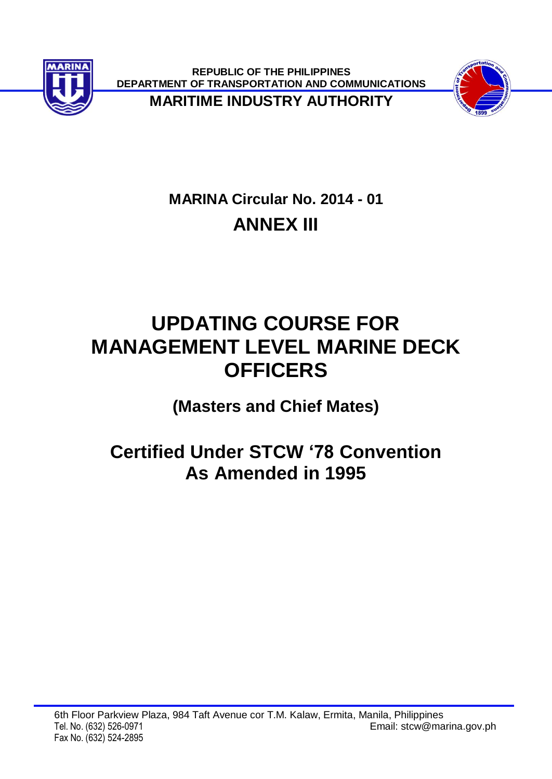

**REPUBLIC OF THE PHILIPPINES DEPARTMENT OF TRANSPORTATION AND COMMUNICATIONS**



**MARITIME INDUSTRY AUTHORITY**

# **MARINA Circular No. 2014 - 01 ANNEX III**

# **UPDATING COURSE FOR MANAGEMENT LEVEL MARINE DECK OFFICERS**

**(Masters and Chief Mates)**

# **Certified Under STCW '78 Convention As Amended in 1995**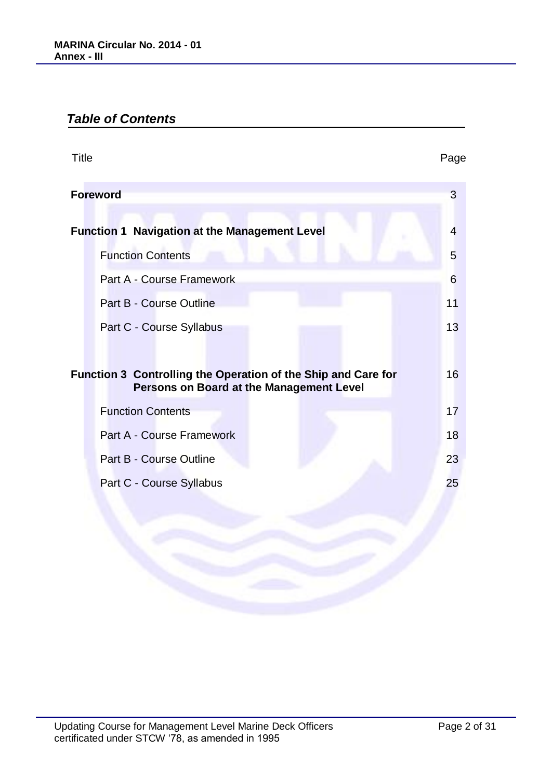# *Table of Contents*

| <b>Title</b>                                                  | Page            |
|---------------------------------------------------------------|-----------------|
| <b>Foreword</b>                                               | 3               |
| <b>Function 1 Navigation at the Management Level</b>          | 4               |
| <b>Function Contents</b>                                      | $5\overline{)}$ |
| Part A - Course Framework                                     | 6               |
| Part B - Course Outline                                       | 11              |
| Part C - Course Syllabus                                      | 13              |
| Function 3 Controlling the Operation of the Ship and Care for | 16              |
| Persons on Board at the Management Level                      |                 |
| <b>Function Contents</b>                                      | 17              |
| <b>Part A - Course Framework</b>                              | 18              |
| <b>Part B - Course Outline</b>                                | 23              |
| Part C - Course Syllabus                                      | 25              |
|                                                               |                 |
|                                                               |                 |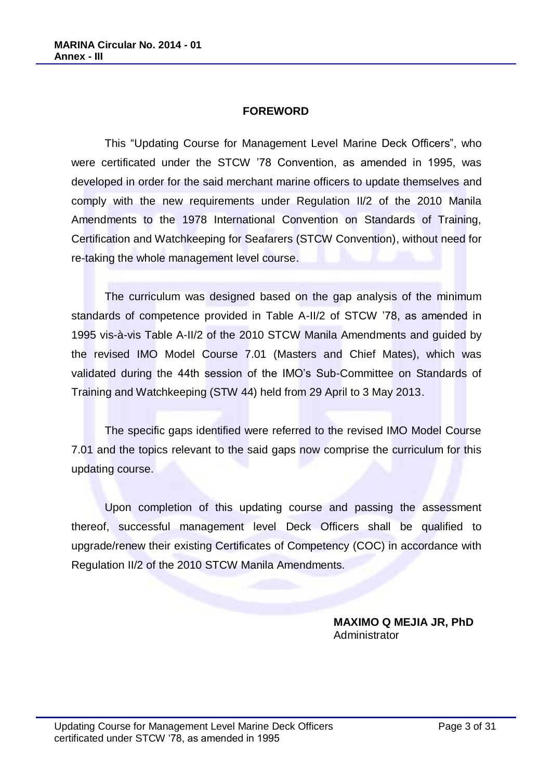#### **FOREWORD**

This "Updating Course for Management Level Marine Deck Officers", who were certificated under the STCW '78 Convention, as amended in 1995, was developed in order for the said merchant marine officers to update themselves and comply with the new requirements under Regulation II/2 of the 2010 Manila Amendments to the 1978 International Convention on Standards of Training, Certification and Watchkeeping for Seafarers (STCW Convention), without need for re-taking the whole management level course.

The curriculum was designed based on the gap analysis of the minimum standards of competence provided in Table A-II/2 of STCW '78, as amended in 1995 vis-à-vis Table A-II/2 of the 2010 STCW Manila Amendments and guided by the revised IMO Model Course 7.01 (Masters and Chief Mates), which was validated during the 44th session of the IMO's Sub-Committee on Standards of Training and Watchkeeping (STW 44) held from 29 April to 3 May 2013.

The specific gaps identified were referred to the revised IMO Model Course 7.01 and the topics relevant to the said gaps now comprise the curriculum for this updating course.

Upon completion of this updating course and passing the assessment thereof, successful management level Deck Officers shall be qualified to upgrade/renew their existing Certificates of Competency (COC) in accordance with Regulation II/2 of the 2010 STCW Manila Amendments.

> **MAXIMO Q MEJIA JR, PhD** Administrator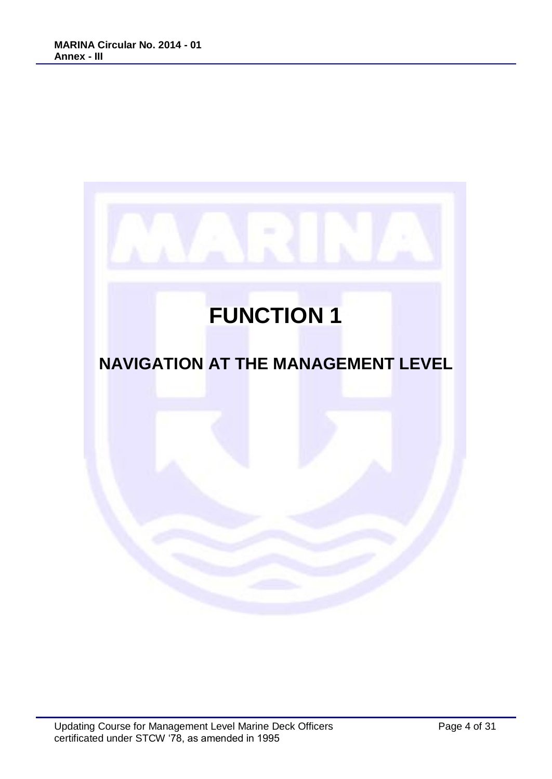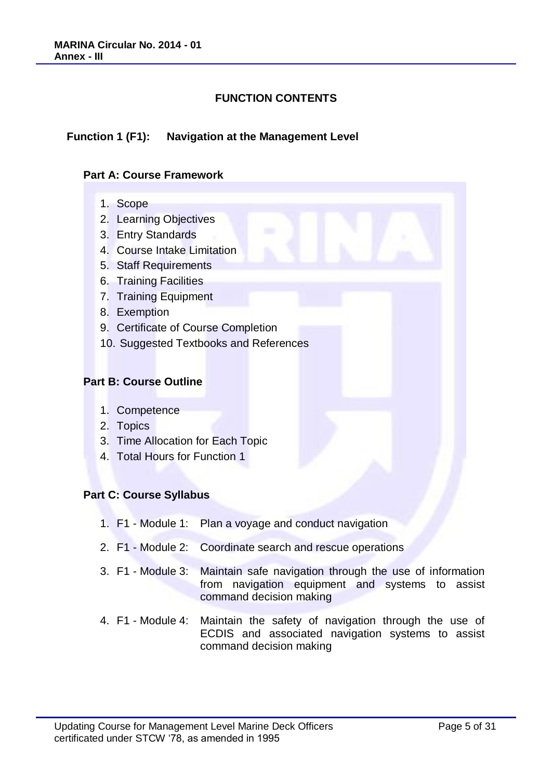# **FUNCTION CONTENTS**

#### **Function 1 (F1): Navigation at the Management Level**

#### **Part A: Course Framework**

- 1. Scope
- 2. Learning Objectives
- 3. Entry Standards
- 4. Course Intake Limitation
- 5. Staff Requirements
- 6. Training Facilities
- 7. Training Equipment
- 8. Exemption
- 9. Certificate of Course Completion
- 10. Suggested Textbooks and References

#### **Part B: Course Outline**

- 1. Competence
- 2. Topics
- 3. Time Allocation for Each Topic
- 4. Total Hours for Function 1

#### **Part C: Course Syllabus**

- 1. F1 Module 1: Plan a voyage and conduct navigation
- 2. F1 Module 2: Coordinate search and rescue operations
- 3. F1 Module 3: Maintain safe navigation through the use of information from navigation equipment and systems to assist command decision making
- 4. F1 Module 4: Maintain the safety of navigation through the use of ECDIS and associated navigation systems to assist command decision making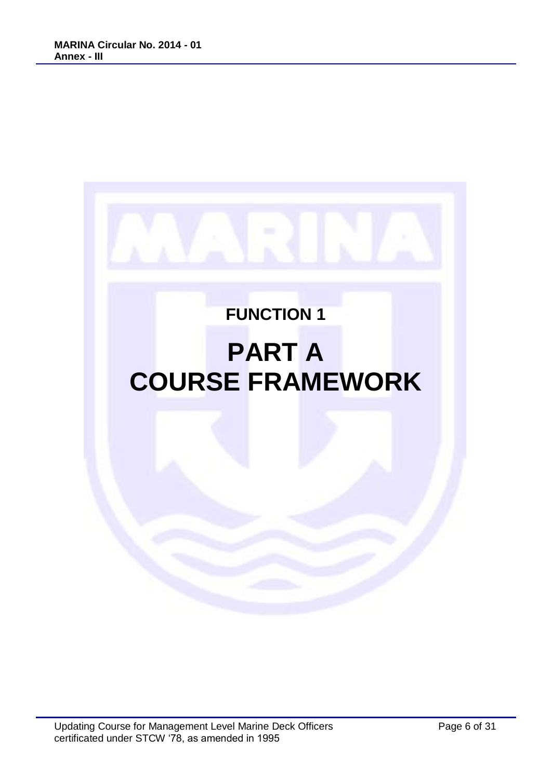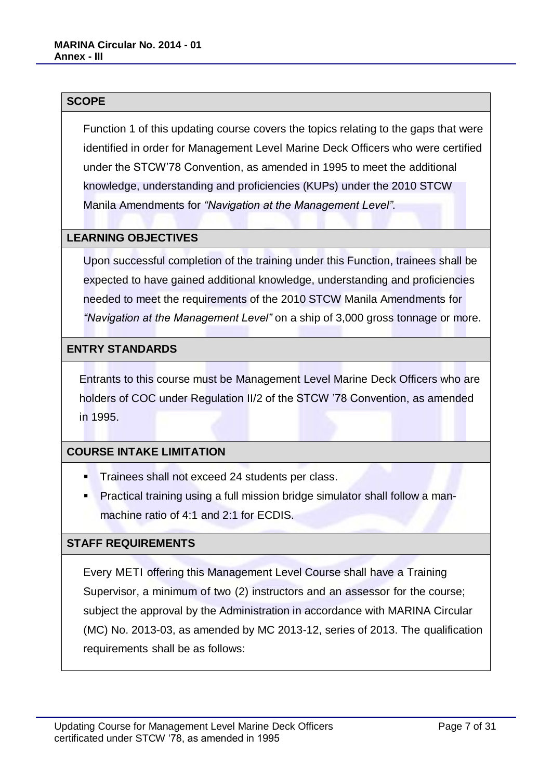#### **SCOPE**

Function 1 of this updating course covers the topics relating to the gaps that were identified in order for Management Level Marine Deck Officers who were certified under the STCW'78 Convention, as amended in 1995 to meet the additional knowledge, understanding and proficiencies (KUPs) under the 2010 STCW Manila Amendments for *"Navigation at the Management Level"*.

#### **LEARNING OBJECTIVES**

Upon successful completion of the training under this Function, trainees shall be expected to have gained additional knowledge, understanding and proficiencies needed to meet the requirements of the 2010 STCW Manila Amendments for *"Navigation at the Management Level"* on a ship of 3,000 gross tonnage or more.

#### **ENTRY STANDARDS**

Entrants to this course must be Management Level Marine Deck Officers who are holders of COC under Regulation II/2 of the STCW '78 Convention, as amended in 1995.

#### **COURSE INTAKE LIMITATION**

- **Trainees shall not exceed 24 students per class.**
- Practical training using a full mission bridge simulator shall follow a manmachine ratio of 4:1 and 2:1 for ECDIS.

#### **STAFF REQUIREMENTS**

Every METI offering this Management Level Course shall have a Training Supervisor, a minimum of two (2) instructors and an assessor for the course; subject the approval by the Administration in accordance with MARINA Circular (MC) No. 2013-03, as amended by MC 2013-12, series of 2013. The qualification requirements shall be as follows: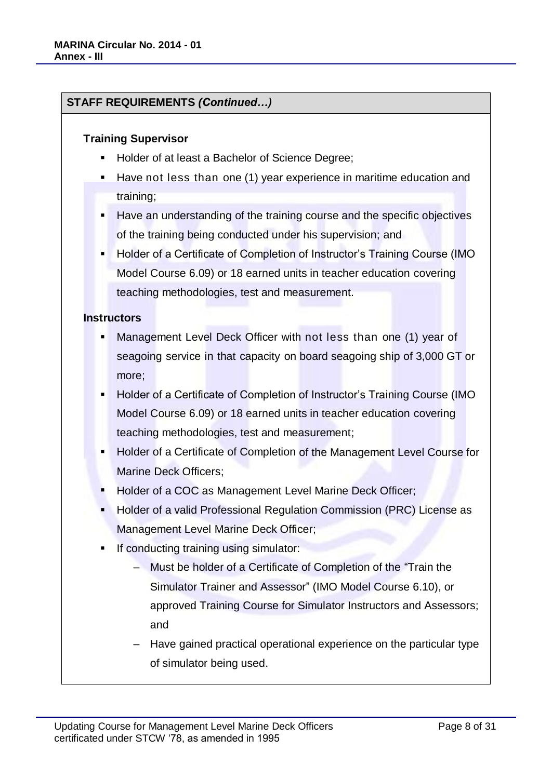### **STAFF REQUIREMENTS** *(Continued…)*

#### **Training Supervisor**

- Holder of at least a Bachelor of Science Degree;
- Have not less than one (1) year experience in maritime education and training;
- Have an understanding of the training course and the specific objectives of the training being conducted under his supervision; and
- Holder of a Certificate of Completion of Instructor's Training Course (IMO Model Course 6.09) or 18 earned units in teacher education covering teaching methodologies, test and measurement.

#### **Instructors**

- Management Level Deck Officer with not less than one (1) year of seagoing service in that capacity on board seagoing ship of 3,000 GT or more;
- Holder of a Certificate of Completion of Instructor's Training Course (IMO Model Course 6.09) or 18 earned units in teacher education covering teaching methodologies, test and measurement;
- Holder of a Certificate of Completion of the Management Level Course for Marine Deck Officers;
- Holder of a COC as Management Level Marine Deck Officer;
- Holder of a valid Professional Regulation Commission (PRC) License as Management Level Marine Deck Officer;
- If conducting training using simulator:
	- ‒ Must be holder of a Certificate of Completion of the "Train the Simulator Trainer and Assessor" (IMO Model Course 6.10), or approved Training Course for Simulator Instructors and Assessors; and
	- ‒ Have gained practical operational experience on the particular type of simulator being used.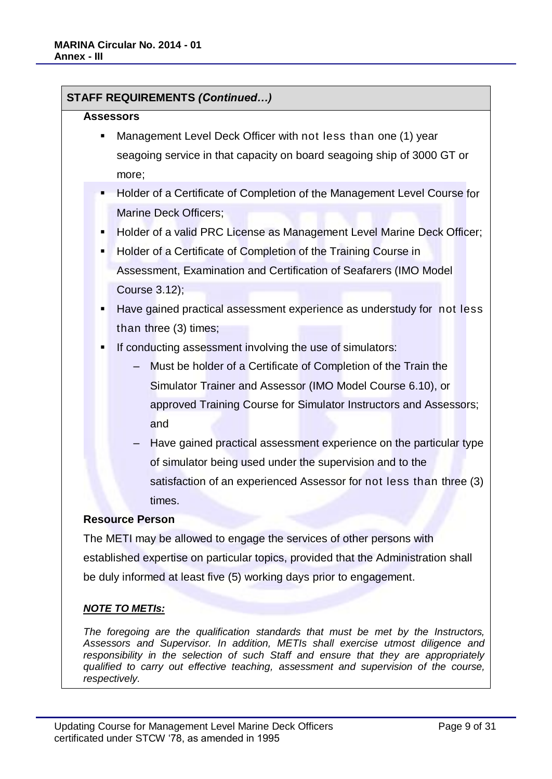**STAFF REQUIREMENTS** *(Continued…)*

| <b>Assessors</b>                                                     |                                                                                                |  |  |
|----------------------------------------------------------------------|------------------------------------------------------------------------------------------------|--|--|
| п                                                                    | Management Level Deck Officer with not less than one (1) year                                  |  |  |
|                                                                      | seagoing service in that capacity on board seagoing ship of 3000 GT or                         |  |  |
|                                                                      | more;                                                                                          |  |  |
| п                                                                    | Holder of a Certificate of Completion of the Management Level Course for                       |  |  |
|                                                                      | Marine Deck Officers;                                                                          |  |  |
| п                                                                    | Holder of a valid PRC License as Management Level Marine Deck Officer;                         |  |  |
| Holder of a Certificate of Completion of the Training Course in<br>٠ |                                                                                                |  |  |
|                                                                      | Assessment, Examination and Certification of Seafarers (IMO Model                              |  |  |
|                                                                      | Course 3.12);                                                                                  |  |  |
| ٠                                                                    | Have gained practical assessment experience as understudy for not less                         |  |  |
|                                                                      | than three (3) times;                                                                          |  |  |
| п                                                                    | If conducting assessment involving the use of simulators:                                      |  |  |
|                                                                      | Must be holder of a Certificate of Completion of the Train the<br>$\overline{\phantom{0}}$     |  |  |
|                                                                      | Simulator Trainer and Assessor (IMO Model Course 6.10), or                                     |  |  |
|                                                                      | approved Training Course for Simulator Instructors and Assessors;                              |  |  |
|                                                                      | and                                                                                            |  |  |
|                                                                      | Have gained practical assessment experience on the particular type<br>$\overline{\phantom{0}}$ |  |  |
|                                                                      | of simulator being used under the supervision and to the                                       |  |  |
|                                                                      | satisfaction of an experienced Assessor for not less than three (3)                            |  |  |
|                                                                      | times.                                                                                         |  |  |
|                                                                      | <b>Resource Person</b>                                                                         |  |  |
|                                                                      | The METI may be allowed to engage the services of other persons with                           |  |  |
|                                                                      | established expertise on particular topics, provided that the Administration shall             |  |  |
|                                                                      | be duly informed at least five (5) working days prior to engagement.                           |  |  |
|                                                                      |                                                                                                |  |  |
|                                                                      | <u>NOTE TO METIs:</u>                                                                          |  |  |
|                                                                      | The foregoing are the qualification standards that must be met by the Instructors              |  |  |

*The foregoing are the qualification standards that must be met by the Instructors, Assessors and Supervisor. In addition, METIs shall exercise utmost diligence and responsibility in the selection of such Staff and ensure that they are appropriately qualified to carry out effective teaching, assessment and supervision of the course, respectively.*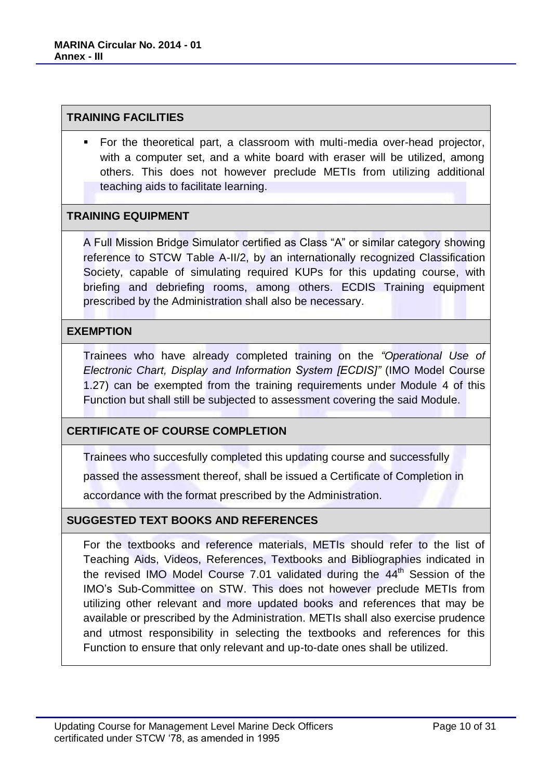#### **TRAINING FACILITIES**

 For the theoretical part, a classroom with multi-media over-head projector, with a computer set, and a white board with eraser will be utilized, among others. This does not however preclude METIs from utilizing additional teaching aids to facilitate learning.

#### **TRAINING EQUIPMENT**

A Full Mission Bridge Simulator certified as Class "A" or similar category showing reference to STCW Table A-II/2, by an internationally recognized Classification Society, capable of simulating required KUPs for this updating course, with briefing and debriefing rooms, among others. ECDIS Training equipment prescribed by the Administration shall also be necessary.

#### **EXEMPTION**

Trainees who have already completed training on the *"Operational Use of Electronic Chart, Display and Information System [ECDIS]"* (IMO Model Course 1.27) can be exempted from the training requirements under Module 4 of this Function but shall still be subjected to assessment covering the said Module.

# **CERTIFICATE OF COURSE COMPLETION**

Trainees who succesfully completed this updating course and successfully

passed the assessment thereof, shall be issued a Certificate of Completion in

accordance with the format prescribed by the Administration.

#### **SUGGESTED TEXT BOOKS AND REFERENCES**

For the textbooks and reference materials, METIs should refer to the list of Teaching Aids, Videos, References, Textbooks and Bibliographies indicated in the revised IMO Model Course 7.01 validated during the  $44<sup>th</sup>$  Session of the IMO's Sub-Committee on STW. This does not however preclude METIs from utilizing other relevant and more updated books and references that may be available or prescribed by the Administration. METIs shall also exercise prudence and utmost responsibility in selecting the textbooks and references for this Function to ensure that only relevant and up-to-date ones shall be utilized.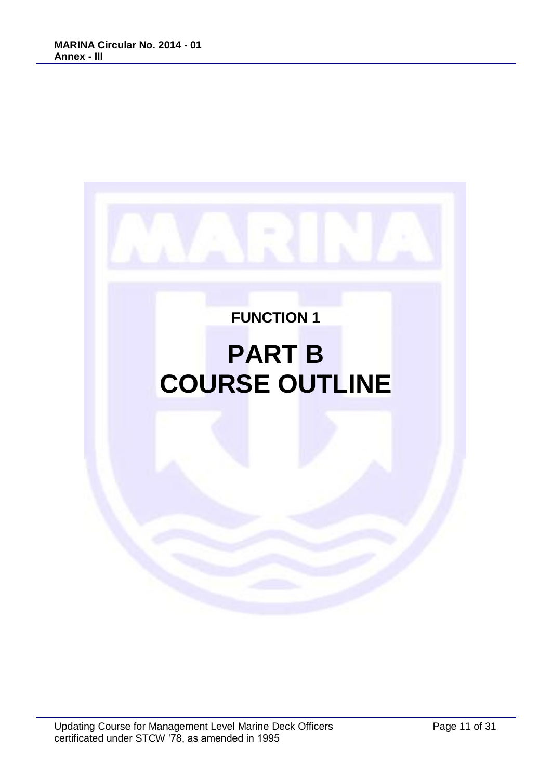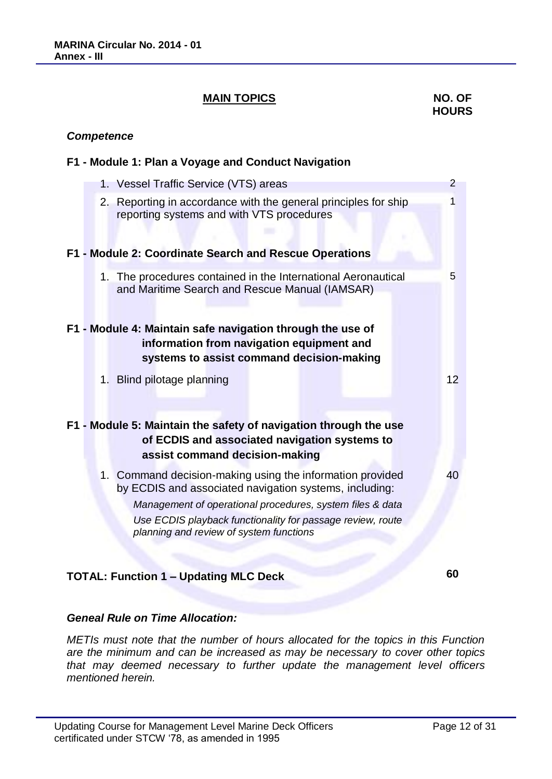### **MAIN TOPICS** NO. OF

# **HOURS**

#### *Competence*

#### **F1 - Module 1: Plan a Voyage and Conduct Navigation**

|  | 1. Vessel Traffic Service (VTS) areas                                                                                                                | $\overline{2}$  |
|--|------------------------------------------------------------------------------------------------------------------------------------------------------|-----------------|
|  | 2. Reporting in accordance with the general principles for ship<br>reporting systems and with VTS procedures                                         | 1               |
|  | F1 - Module 2: Coordinate Search and Rescue Operations                                                                                               |                 |
|  | 1. The procedures contained in the International Aeronautical<br>and Maritime Search and Rescue Manual (IAMSAR)                                      | 5               |
|  | F1 - Module 4: Maintain safe navigation through the use of<br>information from navigation equipment and<br>systems to assist command decision-making |                 |
|  | 1. Blind pilotage planning                                                                                                                           | 12 <sup>2</sup> |
|  | F1 - Module 5: Maintain the safety of navigation through the use<br>of ECDIS and associated navigation systems to<br>assist command decision-making  |                 |
|  | 1. Command decision-making using the information provided<br>by ECDIS and associated navigation systems, including:                                  | 40              |
|  | Management of operational procedures, system files & data                                                                                            |                 |
|  | Use ECDIS playback functionality for passage review, route<br>planning and review of system functions                                                |                 |
|  |                                                                                                                                                      | 60              |
|  | <b>TOTAL: Function 1 - Updating MLC Deck</b>                                                                                                         |                 |

# *Geneal Rule on Time Allocation:*

*METIs must note that the number of hours allocated for the topics in this Function are the minimum and can be increased as may be necessary to cover other topics that may deemed necessary to further update the management level officers mentioned herein.*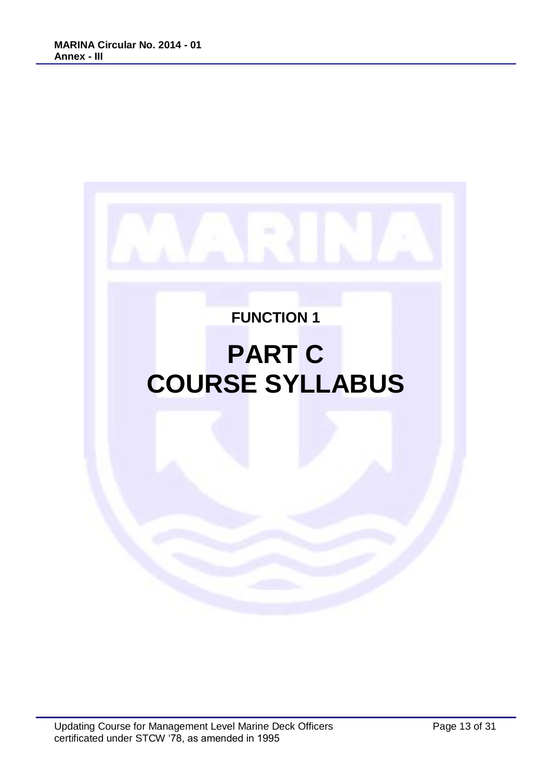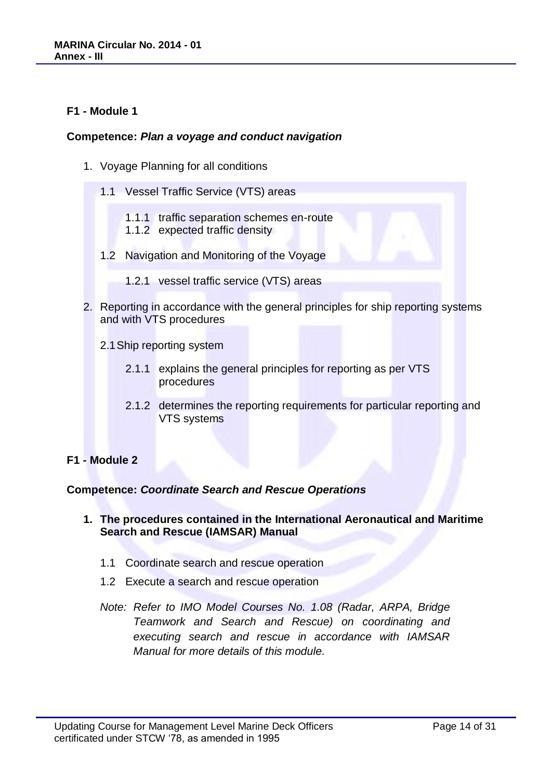#### **F1 - Module 1**

#### **Competence:** *Plan a voyage and conduct navigation*

- 1. Voyage Planning for all conditions
	- 1.1 Vessel Traffic Service (VTS) areas
		- 1.1.1 traffic separation schemes en-route
		- 1.1.2 expected traffic density
	- 1.2 Navigation and Monitoring of the Voyage
		- 1.2.1 vessel traffic service (VTS) areas
- 2. Reporting in accordance with the general principles for ship reporting systems and with VTS procedures
	- 2.1Ship reporting system
		- 2.1.1 explains the general principles for reporting as per VTS procedures
		- 2.1.2 determines the reporting requirements for particular reporting and VTS systems

#### **F1 - Module 2**

#### **Competence:** *Coordinate Search and Rescue Operations*

- **1. The procedures contained in the International Aeronautical and Maritime Search and Rescue (IAMSAR) Manual**
	- 1.1 Coordinate search and rescue operation
	- 1.2 Execute a search and rescue operation
	- *Note: Refer to IMO Model Courses No. 1.08 (Radar, ARPA, Bridge Teamwork and Search and Rescue) on coordinating and executing search and rescue in accordance with IAMSAR Manual for more details of this module.*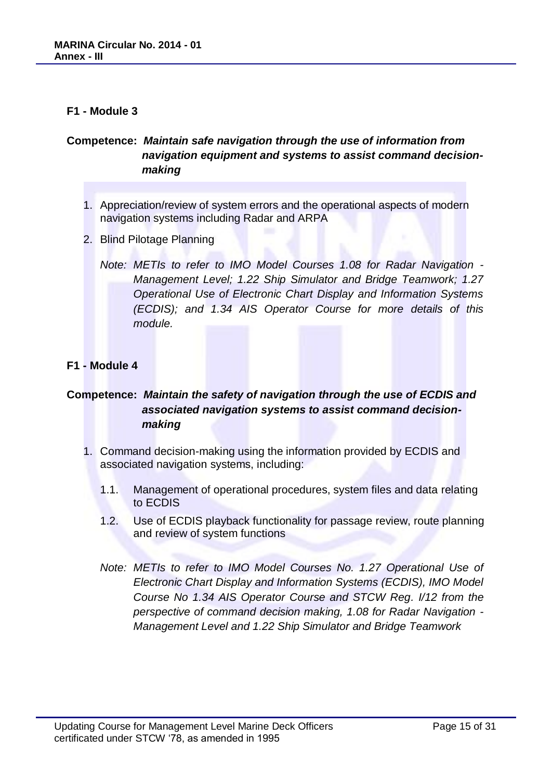#### **F1 - Module 3**

# **Competence:** *Maintain safe navigation through the use of information from navigation equipment and systems to assist command decisionmaking*

- 1. Appreciation/review of system errors and the operational aspects of modern navigation systems including Radar and ARPA
- 2. Blind Pilotage Planning
	- *Note: METIs to refer to IMO Model Courses 1.08 for Radar Navigation - Management Level; 1.22 Ship Simulator and Bridge Teamwork; 1.27 Operational Use of Electronic Chart Display and Information Systems (ECDIS); and 1.34 AIS Operator Course for more details of this module.*

#### **F1 - Module 4**

# **Competence:** *Maintain the safety of navigation through the use of ECDIS and associated navigation systems to assist command decisionmaking*

- 1. Command decision-making using the information provided by ECDIS and associated navigation systems, including:
	- 1.1. Management of operational procedures, system files and data relating to ECDIS
	- 1.2. Use of ECDIS playback functionality for passage review, route planning and review of system functions
	- *Note: METIs to refer to IMO Model Courses No. 1.27 Operational Use of Electronic Chart Display and Information Systems (ECDIS), IMO Model Course No 1.34 AIS Operator Course and STCW Reg. I/12 from the perspective of command decision making, 1.08 for Radar Navigation - Management Level and 1.22 Ship Simulator and Bridge Teamwork*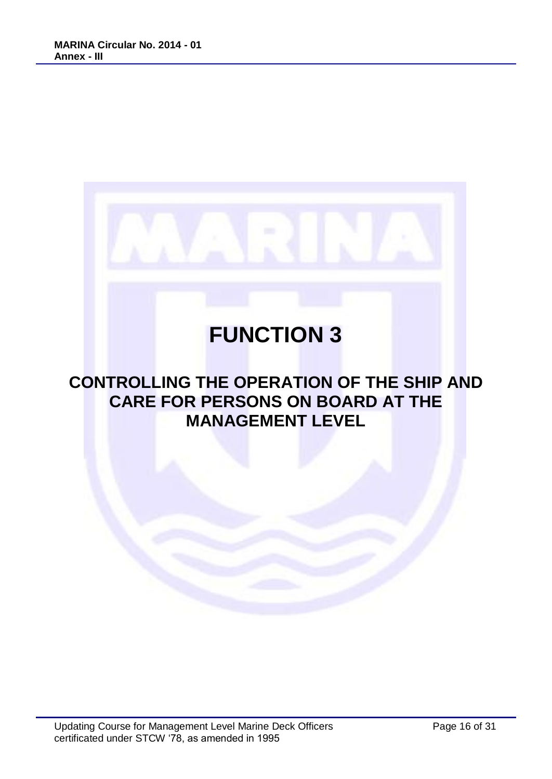

# **CONTROLLING THE OPERATION OF THE SHIP AND CARE FOR PERSONS ON BOARD AT THE MANAGEMENT LEVEL**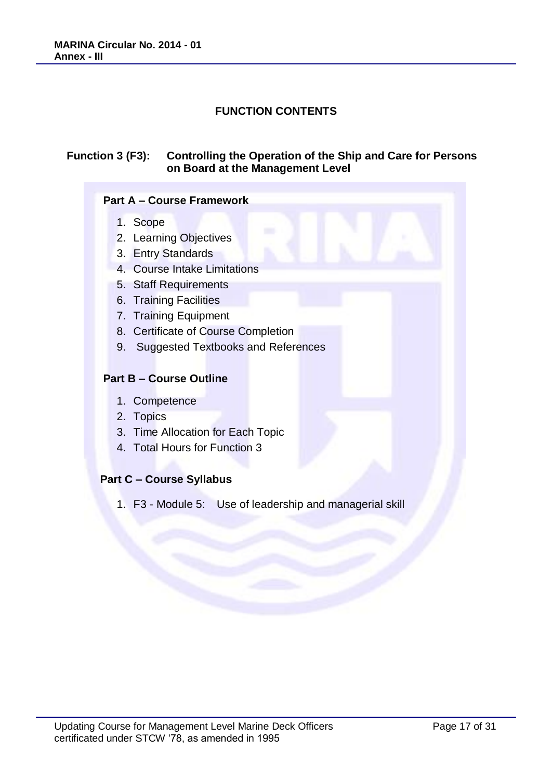# **FUNCTION CONTENTS**

#### **Function 3 (F3): Controlling the Operation of the Ship and Care for Persons on Board at the Management Level**

#### **Part A – Course Framework**

- 1. Scope
- 2. Learning Objectives
- 3. Entry Standards
- 4. Course Intake Limitations
- 5. Staff Requirements
- 6. Training Facilities
- 7. Training Equipment
- 8. Certificate of Course Completion
- 9. Suggested Textbooks and References

#### **Part B – Course Outline**

- 1. Competence
- 2. Topics
- 3. Time Allocation for Each Topic
- 4. Total Hours for Function 3

# **Part C – Course Syllabus**

1. F3 - Module 5: Use of leadership and managerial skill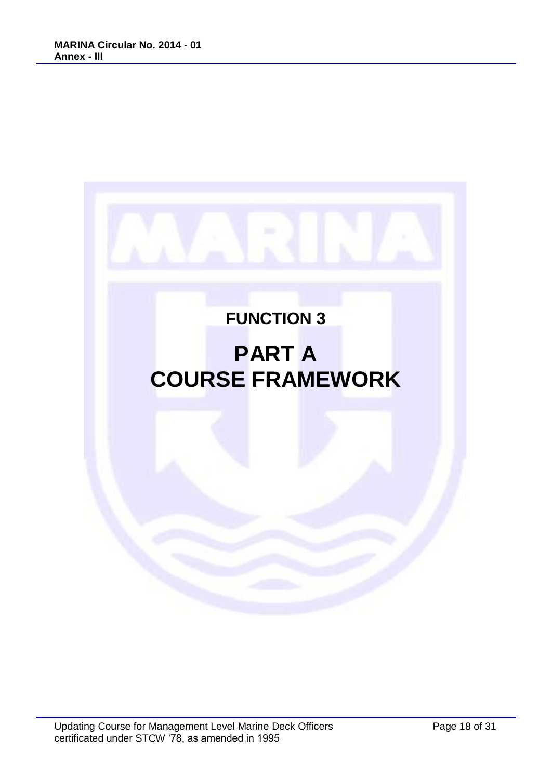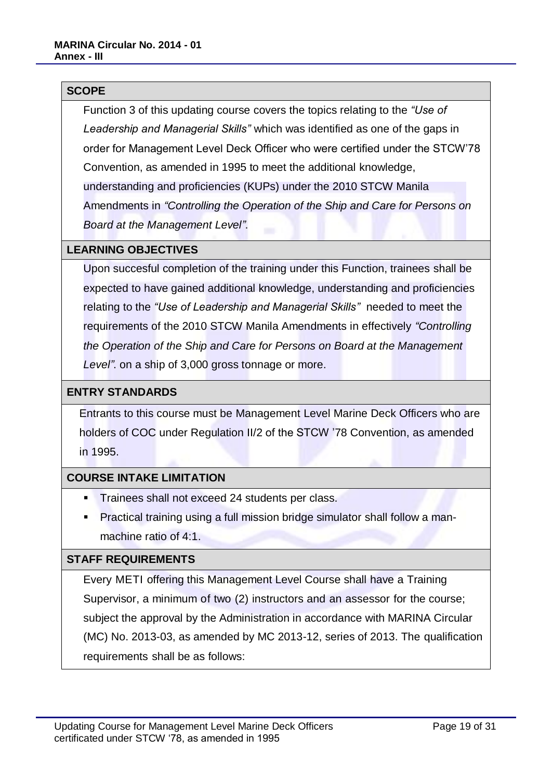#### **SCOPE**

Function 3 of this updating course covers the topics relating to the *"Use of Leadership and Managerial Skills"* which was identified as one of the gaps in order for Management Level Deck Officer who were certified under the STCW'78 Convention, as amended in 1995 to meet the additional knowledge, understanding and proficiencies (KUPs) under the 2010 STCW Manila Amendments in *"Controlling the Operation of the Ship and Care for Persons on Board at the Management Level"*.

#### **LEARNING OBJECTIVES**

Upon succesful completion of the training under this Function, trainees shall be expected to have gained additional knowledge, understanding and proficiencies relating to the *"Use of Leadership and Managerial Skills"* needed to meet the requirements of the 2010 STCW Manila Amendments in effectively *"Controlling the Operation of the Ship and Care for Persons on Board at the Management Level"*. on a ship of 3,000 gross tonnage or more.

### **ENTRY STANDARDS**

Entrants to this course must be Management Level Marine Deck Officers who are holders of COC under Regulation II/2 of the STCW '78 Convention, as amended in 1995.

#### **COURSE INTAKE LIMITATION**

- **Trainees shall not exceed 24 students per class.**
- Practical training using a full mission bridge simulator shall follow a manmachine ratio of 4:1.

#### **STAFF REQUIREMENTS**

Every METI offering this Management Level Course shall have a Training Supervisor, a minimum of two (2) instructors and an assessor for the course; subject the approval by the Administration in accordance with MARINA Circular (MC) No. 2013-03, as amended by MC 2013-12, series of 2013. The qualification requirements shall be as follows: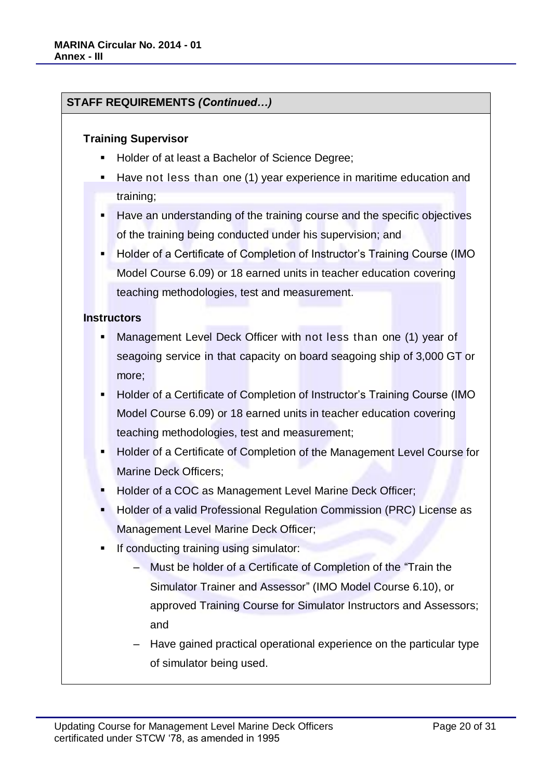### **STAFF REQUIREMENTS** *(Continued…)*

#### **Training Supervisor**

- Holder of at least a Bachelor of Science Degree;
- Have not less than one (1) year experience in maritime education and training;
- Have an understanding of the training course and the specific objectives of the training being conducted under his supervision; and
- Holder of a Certificate of Completion of Instructor's Training Course (IMO Model Course 6.09) or 18 earned units in teacher education covering teaching methodologies, test and measurement.

#### **Instructors**

- Management Level Deck Officer with not less than one (1) year of seagoing service in that capacity on board seagoing ship of 3,000 GT or more;
- Holder of a Certificate of Completion of Instructor's Training Course (IMO Model Course 6.09) or 18 earned units in teacher education covering teaching methodologies, test and measurement;
- Holder of a Certificate of Completion of the Management Level Course for Marine Deck Officers;
- Holder of a COC as Management Level Marine Deck Officer;
- Holder of a valid Professional Regulation Commission (PRC) License as Management Level Marine Deck Officer;
- If conducting training using simulator:
	- ‒ Must be holder of a Certificate of Completion of the "Train the Simulator Trainer and Assessor" (IMO Model Course 6.10), or approved Training Course for Simulator Instructors and Assessors; and
	- ‒ Have gained practical operational experience on the particular type of simulator being used.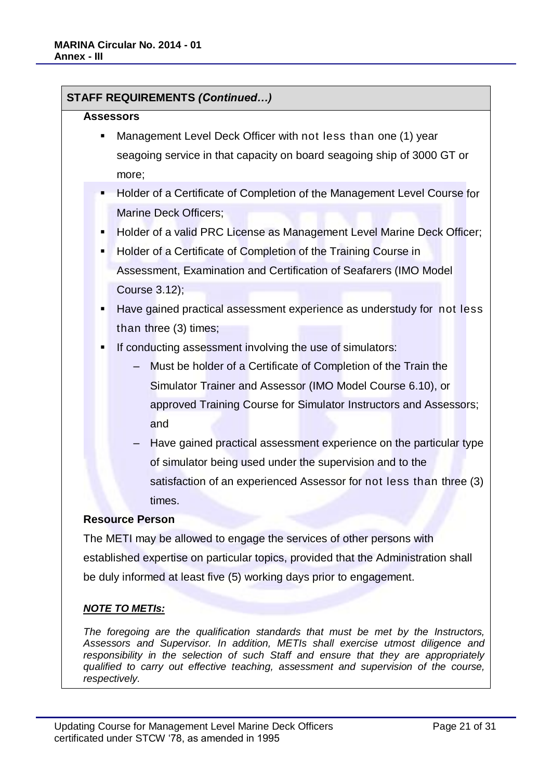**STAFF REQUIREMENTS** *(Continued…)*

| <b>Assessors</b>                                                                   |  |  |  |
|------------------------------------------------------------------------------------|--|--|--|
| Management Level Deck Officer with not less than one (1) year<br>п                 |  |  |  |
| seagoing service in that capacity on board seagoing ship of 3000 GT or             |  |  |  |
| more;                                                                              |  |  |  |
| Holder of a Certificate of Completion of the Management Level Course for<br>п      |  |  |  |
| Marine Deck Officers;                                                              |  |  |  |
| Holder of a valid PRC License as Management Level Marine Deck Officer;             |  |  |  |
| Holder of a Certificate of Completion of the Training Course in<br>٠               |  |  |  |
| Assessment, Examination and Certification of Seafarers (IMO Model                  |  |  |  |
| Course 3.12);                                                                      |  |  |  |
| Have gained practical assessment experience as understudy for not less<br>٠        |  |  |  |
| than three (3) times;                                                              |  |  |  |
| If conducting assessment involving the use of simulators:<br>٠                     |  |  |  |
| Must be holder of a Certificate of Completion of the Train the                     |  |  |  |
| Simulator Trainer and Assessor (IMO Model Course 6.10), or                         |  |  |  |
| approved Training Course for Simulator Instructors and Assessors;                  |  |  |  |
| and                                                                                |  |  |  |
| Have gained practical assessment experience on the particular type                 |  |  |  |
| of simulator being used under the supervision and to the                           |  |  |  |
| satisfaction of an experienced Assessor for not less than three (3)                |  |  |  |
| times.                                                                             |  |  |  |
| <b>Resource Person</b>                                                             |  |  |  |
| The METI may be allowed to engage the services of other persons with               |  |  |  |
| established expertise on particular topics, provided that the Administration shall |  |  |  |
| be duly informed at least five (5) working days prior to engagement.               |  |  |  |
|                                                                                    |  |  |  |
| <u>NOTE TO METIs:</u>                                                              |  |  |  |
| The foregoing are the qualification standards that must he met by the Instructors  |  |  |  |

*The foregoing are the qualification standards that must be met by the Instructors, Assessors and Supervisor. In addition, METIs shall exercise utmost diligence and responsibility in the selection of such Staff and ensure that they are appropriately qualified to carry out effective teaching, assessment and supervision of the course, respectively.*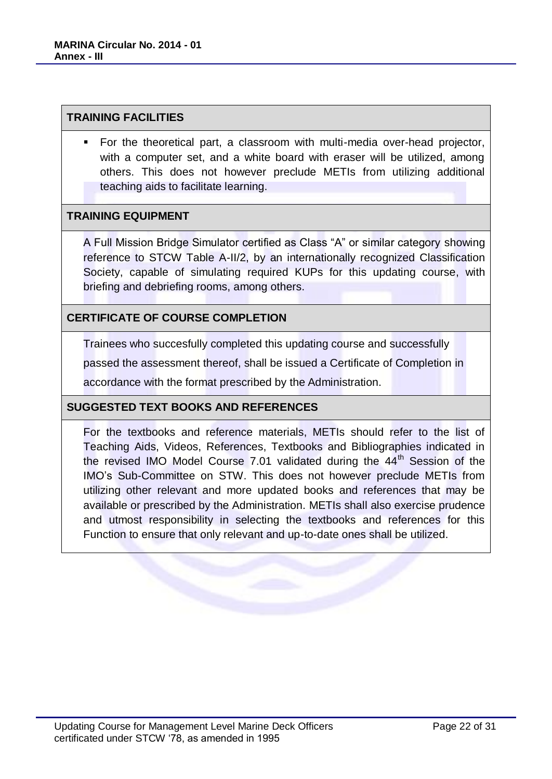#### **TRAINING FACILITIES**

 For the theoretical part, a classroom with multi-media over-head projector, with a computer set, and a white board with eraser will be utilized, among others. This does not however preclude METIs from utilizing additional teaching aids to facilitate learning.

#### **TRAINING EQUIPMENT**

A Full Mission Bridge Simulator certified as Class "A" or similar category showing reference to STCW Table A-II/2, by an internationally recognized Classification Society, capable of simulating required KUPs for this updating course, with briefing and debriefing rooms, among others.

#### **CERTIFICATE OF COURSE COMPLETION**

Trainees who succesfully completed this updating course and successfully

passed the assessment thereof, shall be issued a Certificate of Completion in

accordance with the format prescribed by the Administration.

#### **SUGGESTED TEXT BOOKS AND REFERENCES**

For the textbooks and reference materials, METIs should refer to the list of Teaching Aids, Videos, References, Textbooks and Bibliographies indicated in the revised IMO Model Course 7.01 validated during the  $44<sup>th</sup>$  Session of the IMO's Sub-Committee on STW. This does not however preclude METIs from utilizing other relevant and more updated books and references that may be available or prescribed by the Administration. METIs shall also exercise prudence and utmost responsibility in selecting the textbooks and references for this Function to ensure that only relevant and up-to-date ones shall be utilized.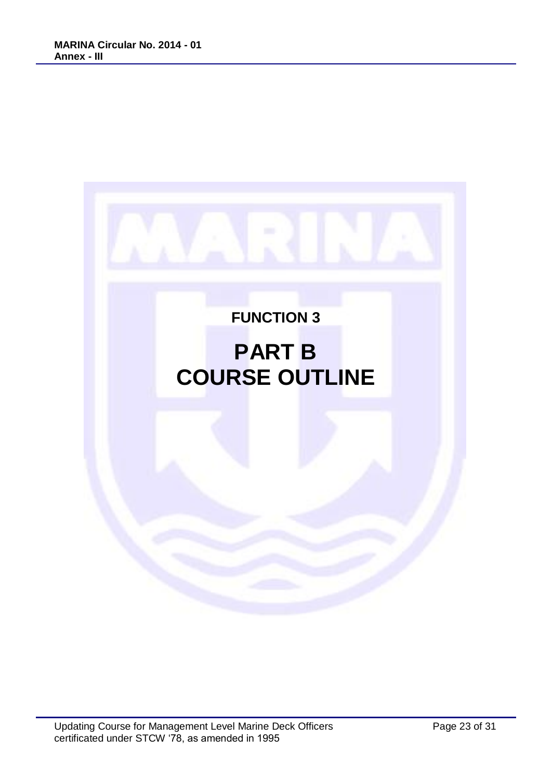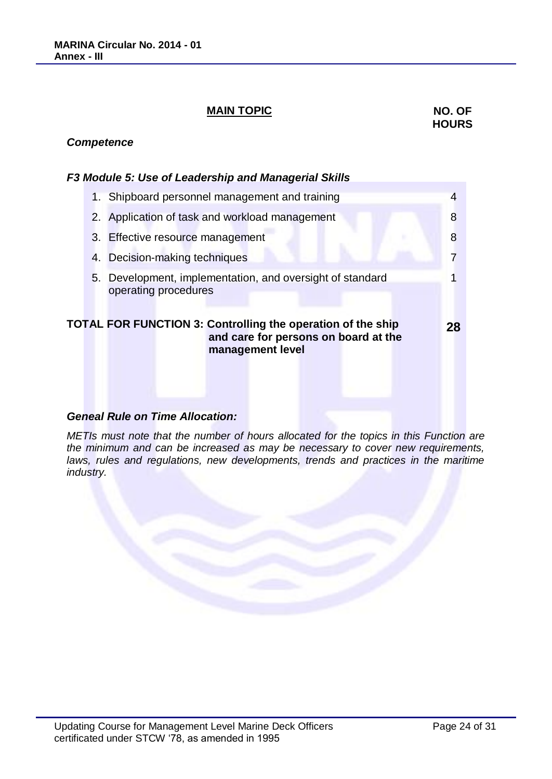# **MAIN TOPIC** NO. OF

# **HOURS**

#### *Competence*

#### *F3 Module 5: Use of Leadership and Managerial Skills*

|  | 1. Shipboard personnel management and training                                                                          |    |
|--|-------------------------------------------------------------------------------------------------------------------------|----|
|  | 2. Application of task and workload management                                                                          | 8  |
|  | 3. Effective resource management                                                                                        | 8  |
|  | 4. Decision-making techniques                                                                                           |    |
|  | 5. Development, implementation, and oversight of standard<br>operating procedures                                       |    |
|  | TOTAL FOR FUNCTION 3: Controlling the operation of the ship<br>and care for persons on board at the<br>management level | 28 |
|  | Geneal Rule on Time Allocation:                                                                                         |    |

#### **Geneal Rule on Time Allocat**

*METIs must note that the number of hours allocated for the topics in this Function are the minimum and can be increased as may be necessary to cover new requirements,*  laws, rules and regulations, new developments, trends and practices in the maritime *industry.*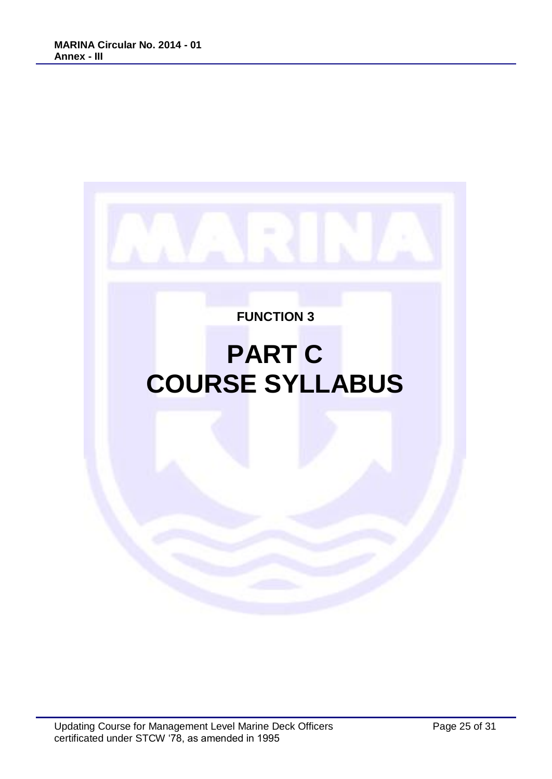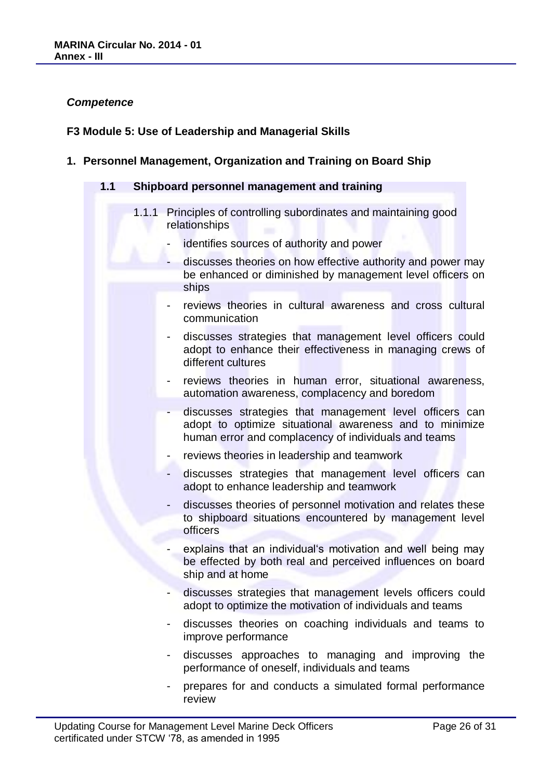#### *Competence*

#### **F3 Module 5: Use of Leadership and Managerial Skills**

**1. Personnel Management, Organization and Training on Board Ship**

#### **1.1 Shipboard personnel management and training**

- 1.1.1 Principles of controlling subordinates and maintaining good relationships
	- identifies sources of authority and power
	- discusses theories on how effective authority and power may be enhanced or diminished by management level officers on ships
	- reviews theories in cultural awareness and cross cultural communication
	- discusses strategies that management level officers could adopt to enhance their effectiveness in managing crews of different cultures
	- reviews theories in human error, situational awareness, automation awareness, complacency and boredom
	- discusses strategies that management level officers can adopt to optimize situational awareness and to minimize human error and complacency of individuals and teams
	- reviews theories in leadership and teamwork
	- discusses strategies that management level officers can adopt to enhance leadership and teamwork
	- discusses theories of personnel motivation and relates these to shipboard situations encountered by management level officers
	- explains that an individual's motivation and well being may be effected by both real and perceived influences on board ship and at home
	- discusses strategies that management levels officers could adopt to optimize the motivation of individuals and teams
	- discusses theories on coaching individuals and teams to improve performance
	- discusses approaches to managing and improving the performance of oneself, individuals and teams
	- prepares for and conducts a simulated formal performance review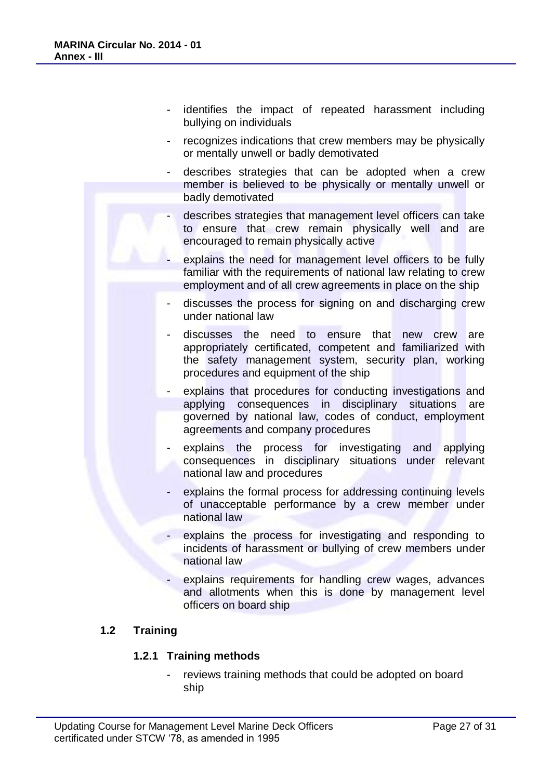- identifies the impact of repeated harassment including bullying on individuals
- recognizes indications that crew members may be physically or mentally unwell or badly demotivated
- describes strategies that can be adopted when a crew member is believed to be physically or mentally unwell or badly demotivated
- describes strategies that management level officers can take to ensure that crew remain physically well and are encouraged to remain physically active
- explains the need for management level officers to be fully familiar with the requirements of national law relating to crew employment and of all crew agreements in place on the ship
- discusses the process for signing on and discharging crew under national law
- discusses the need to ensure that new crew are appropriately certificated, competent and familiarized with the safety management system, security plan, working procedures and equipment of the ship
- explains that procedures for conducting investigations and applying consequences in disciplinary situations are governed by national law, codes of conduct, employment agreements and company procedures
- explains the process for investigating and applying consequences in disciplinary situations under relevant national law and procedures
- explains the formal process for addressing continuing levels of unacceptable performance by a crew member under national law
- explains the process for investigating and responding to incidents of harassment or bullying of crew members under national law
- explains requirements for handling crew wages, advances and allotments when this is done by management level officers on board ship

# **1.2 Training**

#### **1.2.1 Training methods**

reviews training methods that could be adopted on board ship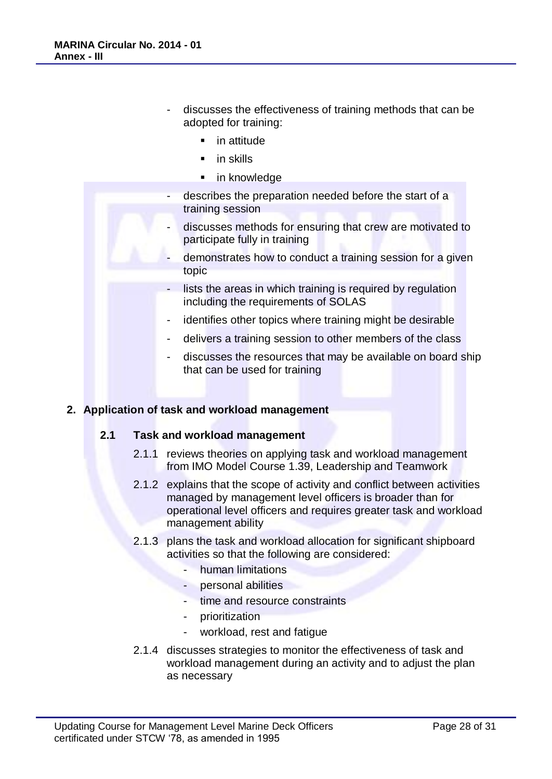- discusses the effectiveness of training methods that can be adopted for training:
	- in attitude
	- in skills
	- **in knowledge**
- describes the preparation needed before the start of a training session
- discusses methods for ensuring that crew are motivated to participate fully in training
- demonstrates how to conduct a training session for a given topic
- lists the areas in which training is required by regulation including the requirements of SOLAS
- identifies other topics where training might be desirable
- delivers a training session to other members of the class
- discusses the resources that may be available on board ship that can be used for training

#### **2. Application of task and workload management**

#### **2.1 Task and workload management**

- 2.1.1 reviews theories on applying task and workload management from IMO Model Course 1.39, Leadership and Teamwork
- 2.1.2 explains that the scope of activity and conflict between activities managed by management level officers is broader than for operational level officers and requires greater task and workload management ability
- 2.1.3 plans the task and workload allocation for significant shipboard activities so that the following are considered:
	- human limitations
	- personal abilities
	- time and resource constraints
	- **prioritization**
	- workload, rest and fatigue
- 2.1.4 discusses strategies to monitor the effectiveness of task and workload management during an activity and to adjust the plan as necessary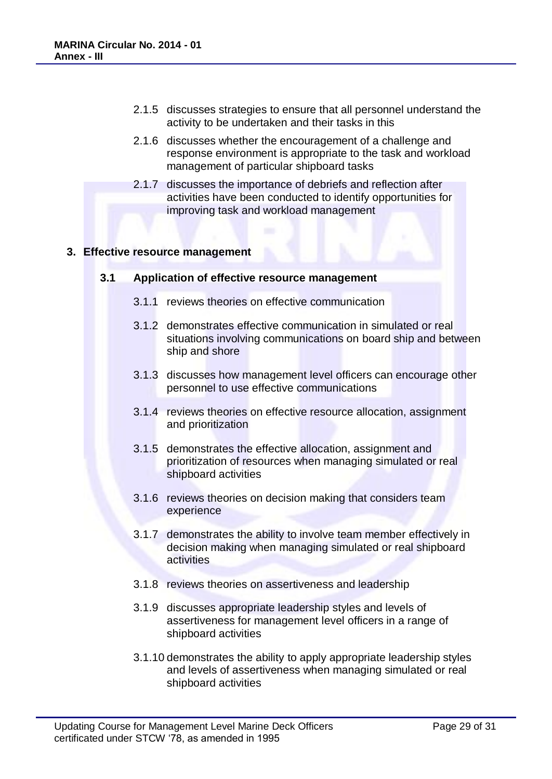- 2.1.5 discusses strategies to ensure that all personnel understand the activity to be undertaken and their tasks in this
- 2.1.6 discusses whether the encouragement of a challenge and response environment is appropriate to the task and workload management of particular shipboard tasks
- 2.1.7 discusses the importance of debriefs and reflection after activities have been conducted to identify opportunities for improving task and workload management

#### **3. Effective resource management**

#### **3.1 Application of effective resource management**

- 3.1.1 reviews theories on effective communication
- 3.1.2 demonstrates effective communication in simulated or real situations involving communications on board ship and between ship and shore
- 3.1.3 discusses how management level officers can encourage other personnel to use effective communications
- 3.1.4 reviews theories on effective resource allocation, assignment and prioritization
- 3.1.5 demonstrates the effective allocation, assignment and prioritization of resources when managing simulated or real shipboard activities
- 3.1.6 reviews theories on decision making that considers team experience
- 3.1.7 demonstrates the ability to involve team member effectively in decision making when managing simulated or real shipboard activities
- 3.1.8 reviews theories on assertiveness and leadership
- 3.1.9 discusses appropriate leadership styles and levels of assertiveness for management level officers in a range of shipboard activities
- 3.1.10 demonstrates the ability to apply appropriate leadership styles and levels of assertiveness when managing simulated or real shipboard activities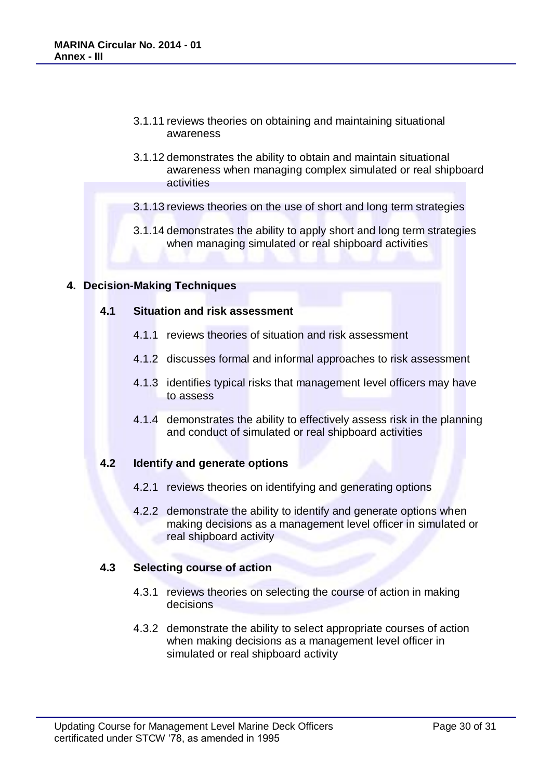- 3.1.11 reviews theories on obtaining and maintaining situational awareness
- 3.1.12 demonstrates the ability to obtain and maintain situational awareness when managing complex simulated or real shipboard activities
- 3.1.13 reviews theories on the use of short and long term strategies
- 3.1.14 demonstrates the ability to apply short and long term strategies when managing simulated or real shipboard activities

#### **4. Decision-Making Techniques**

#### **4.1 Situation and risk assessment**

- 4.1.1 reviews theories of situation and risk assessment
- 4.1.2 discusses formal and informal approaches to risk assessment
- 4.1.3 identifies typical risks that management level officers may have to assess
- 4.1.4 demonstrates the ability to effectively assess risk in the planning and conduct of simulated or real shipboard activities

#### **4.2 Identify and generate options**

- 4.2.1 reviews theories on identifying and generating options
- 4.2.2 demonstrate the ability to identify and generate options when making decisions as a management level officer in simulated or real shipboard activity

#### **4.3 Selecting course of action**

- 4.3.1 reviews theories on selecting the course of action in making decisions
- 4.3.2 demonstrate the ability to select appropriate courses of action when making decisions as a management level officer in simulated or real shipboard activity